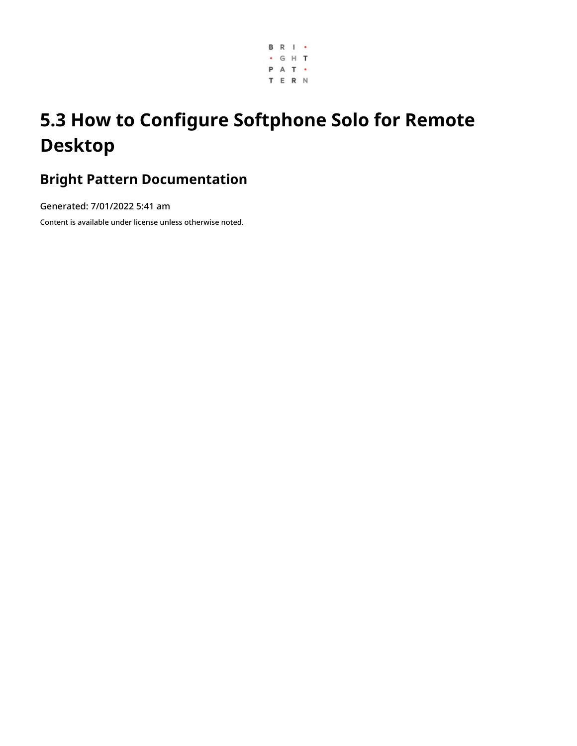

# **5.3 How to Configure Softphone Solo for Remote Desktop**

# **Bright Pattern Documentation**

Generated: 7/01/2022 5:41 am

Content is available under license unless otherwise noted.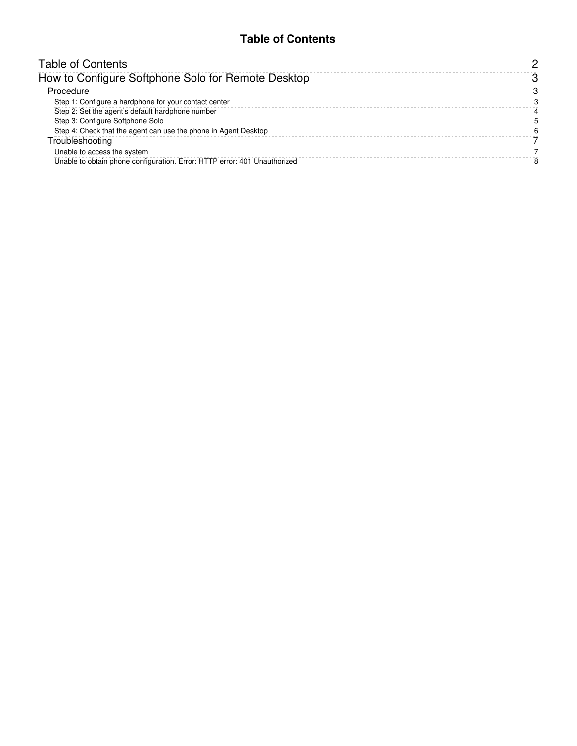## **Table of Contents**

<span id="page-1-0"></span>

| <b>Table of Contents</b>                                                  |  |
|---------------------------------------------------------------------------|--|
| How to Configure Softphone Solo for Remote Desktop                        |  |
| Procedure                                                                 |  |
| Step 1: Configure a hardphone for your contact center                     |  |
| Step 2: Set the agent's default hardphone number                          |  |
| Step 3: Configure Softphone Solo                                          |  |
| Step 4: Check that the agent can use the phone in Agent Desktop           |  |
| Troubleshooting                                                           |  |
| Unable to access the system                                               |  |
| Unable to obtain phone configuration. Error: HTTP error: 401 Unauthorized |  |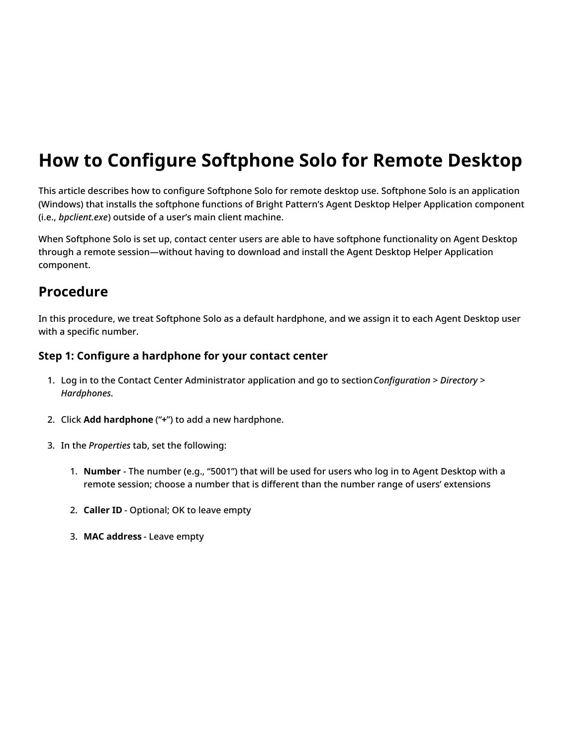# <span id="page-2-0"></span>**How to Configure Softphone Solo for Remote Desktop**

This article describes how to configure Softphone Solo for remote desktop use. Softphone Solo is an application (Windows) that installs the softphone functions of Bright Pattern's Agent Desktop Helper Application component (i.e., *bpclient.exe*) outside of a user's main client machine.

When Softphone Solo is set up, contact center users are able to have softphone functionality on Agent Desktop through a remote session—without having to download and install the Agent Desktop Helper Application component.

# <span id="page-2-1"></span>**Procedure**

In this procedure, we treat Softphone Solo as a default hardphone, and we assign it to each Agent Desktop user with a specific number.

## <span id="page-2-2"></span>**Step 1: Configure a hardphone for your contact center**

- 1. Log in to the Contact Center Administrator application and go to section*Configuration > Directory > Hardphones*.
- 2. Click **Add hardphone** ("**+**") to add a new hardphone.
- 3. In the *Properties* tab, set the following:
	- 1. **Number** The number (e.g., "5001") that will be used for users who log in to Agent Desktop with a remote session; choose a number that is different than the number range of users' extensions
	- 2. **Caller ID** Optional; OK to leave empty
	- 3. **MAC address** Leave empty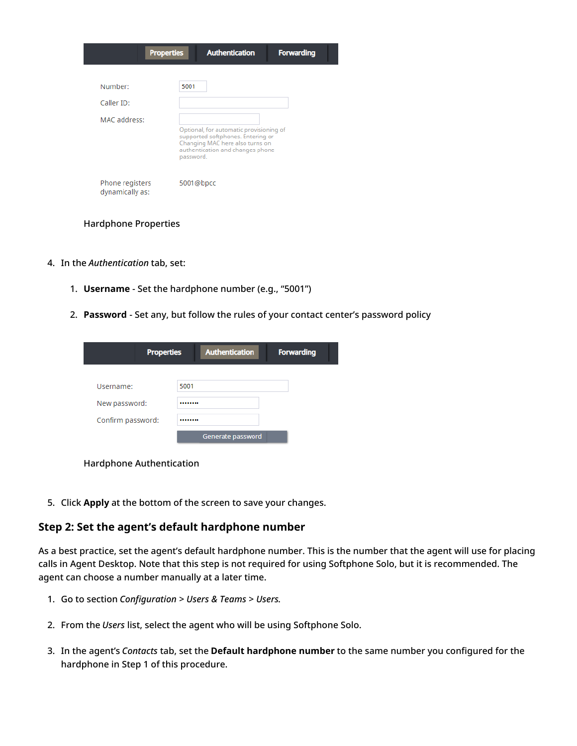|                                    | <b>Properties</b> | <b>Authentication</b>                                                                                                                               | <b>Forwarding</b> |
|------------------------------------|-------------------|-----------------------------------------------------------------------------------------------------------------------------------------------------|-------------------|
| Number:                            | 5001              |                                                                                                                                                     |                   |
| Caller ID:                         |                   |                                                                                                                                                     |                   |
| MAC address:                       | password.         | Optional, for automatic provisioning of<br>supported softphones. Entering or<br>Changing MAC here also turns on<br>authentication and changes phone |                   |
| Phone registers<br>dynamically as: | 5001@bpcc         |                                                                                                                                                     |                   |

#### Hardphone Properties

- 4. In the *Authentication* tab, set:
	- 1. **Username** Set the hardphone number (e.g., "5001")
	- 2. **Password** Set any, but follow the rules of your contact center's password policy

| <b>Properties</b> | <b>Authentication</b> | <b>Forwarding</b> |
|-------------------|-----------------------|-------------------|
| Username:         | 5001                  |                   |
| New password:     |                       |                   |
| Confirm password: |                       |                   |
|                   | Generate password     |                   |

Hardphone Authentication

5. Click **Apply** at the bottom of the screen to save your changes.

#### <span id="page-3-0"></span>**Step 2: Set the agent's default hardphone number**

As a best practice, set the agent's default hardphone number. This is the number that the agent will use for placing calls in Agent Desktop. Note that this step is not required for using Softphone Solo, but it is recommended. The agent can choose a number manually at a later time.

- 1. Go to section *Configuration > Users & Teams > Users*.
- 2. From the *Users* list, select the agent who will be using Softphone Solo.
- 3. In the agent's *Contacts* tab, set the **Default hardphone number** to the same number you configured for the hardphone in Step 1 of this procedure.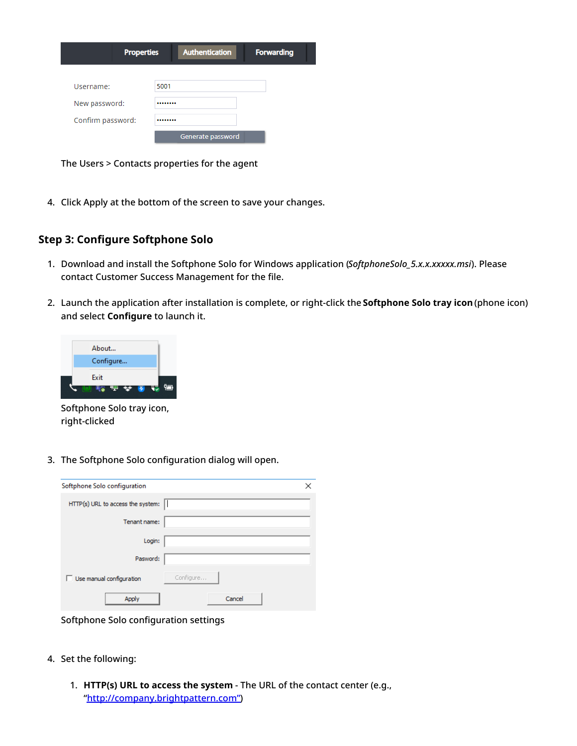| <b>Properties</b> |      | <b>Authentication</b> | <b>Forwarding</b> |
|-------------------|------|-----------------------|-------------------|
| Username:         | 5001 |                       |                   |
| New password:     |      |                       |                   |
| Confirm password: |      |                       |                   |
|                   |      | Generate password     |                   |

The Users > Contacts properties for the agent

4. Click Apply at the bottom of the screen to save your changes.

### <span id="page-4-0"></span>**Step 3: Configure Softphone Solo**

- 1. Download and install the Softphone Solo for Windows application (*SoftphoneSolo\_5.x.x.xxxxx.msi*). Please contact Customer Success Management for the file.
- 2. Launch the application after installation is complete, or right-click the **Softphone Solo tray icon**(phone icon) and select **Configure** to launch it.



Softphone Solo tray icon, right-clicked

3. The Softphone Solo configuration dialog will open.

| Softphone Solo configuration      | ×         |
|-----------------------------------|-----------|
| HTTP(s) URL to access the system: |           |
| Tenant name:                      |           |
| Login:                            |           |
| Pasword:                          |           |
| $\Box$ Use manual configuration   | Configure |
| Apply                             | Cancel    |

Softphone Solo configuration settings

- 4. Set the following:
	- 1. **HTTP(s) URL to access the system** The URL of the contact center (e.g., ["http://company.brightpattern.com"](http://company.brightpattern.xn--com-9o0a))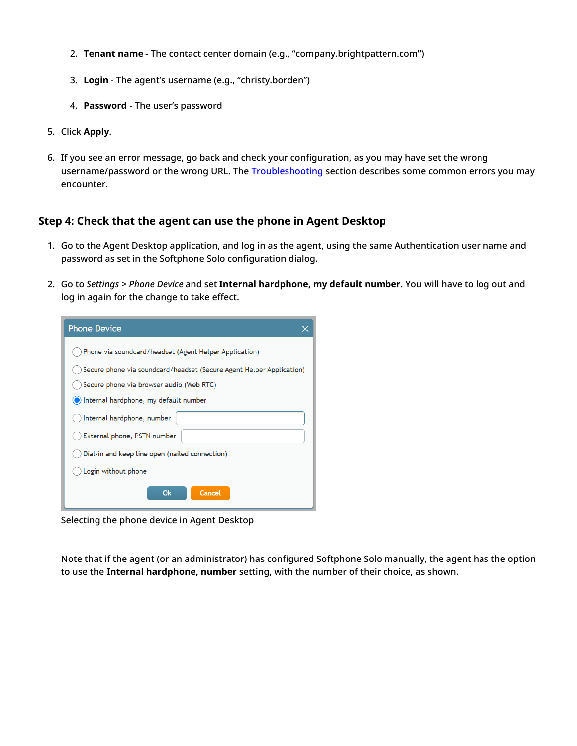- 2. **Tenant name** The contact center domain (e.g., "company.brightpattern.com")
- 3. **Login** The agent's username (e.g., "christy.borden")
- 4. **Password** The user's password
- 5. Click **Apply**.
- 6. If you see an error message, go back and check your configuration, as you may have set the wrong username/password or the wrong URL. The [Troubleshooting](https://help.brightpattern.com/5.3:Contact-center-administrator-guide/ApplicationNotes/SoftphoneSoloConfiguration#Troubleshooting) section describes some common errors you may encounter.

### <span id="page-5-0"></span>**Step 4: Check that the agent can use the phone in Agent Desktop**

- 1. Go to the Agent Desktop application, and log in as the agent, using the same Authentication user name and password as set in the Softphone Solo configuration dialog.
- 2. Go to *Settings > Phone Device* and set **Internal hardphone, my default number**. You will have to log out and log in again for the change to take effect.

| <b>Phone Device</b>                                                  |  |  |  |
|----------------------------------------------------------------------|--|--|--|
| Phone via soundcard/headset (Agent Helper Application)               |  |  |  |
| Secure phone via soundcard/headset (Secure Agent Helper Application) |  |  |  |
| Secure phone via browser audio (Web RTC)                             |  |  |  |
| (C) Internal hardphone, my default number                            |  |  |  |
| Internal hardphone, number                                           |  |  |  |
| External phone, PSTN number                                          |  |  |  |
| Dial-in and keep line open (nailed connection)                       |  |  |  |
| Login without phone                                                  |  |  |  |
| <b>Ok</b><br>Cancel                                                  |  |  |  |

Selecting the phone device in Agent Desktop

Note that if the agent (or an administrator) has configured Softphone Solo manually, the agent has the option to use the **Internal hardphone, number** setting, with the number of their choice, as shown.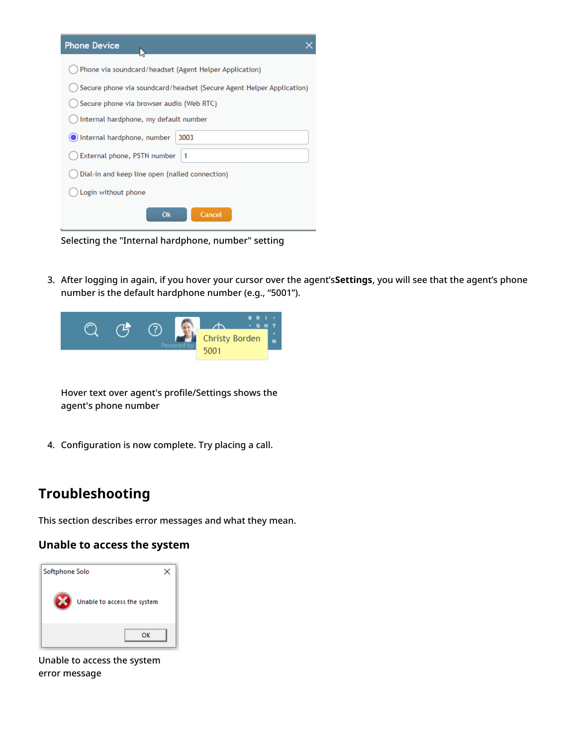| <b>Phone Device</b>                                                  |
|----------------------------------------------------------------------|
| Phone via soundcard/headset (Agent Helper Application)               |
| Secure phone via soundcard/headset (Secure Agent Helper Application) |
| Secure phone via browser audio (Web RTC)                             |
| Internal hardphone, my default number                                |
| Internal hardphone, number<br>3003                                   |
| External phone, PSTN number<br>$\blacktriangleleft$                  |
| Dial-in and keep line open (nailed connection)                       |
| Login without phone                                                  |
| <b>Ok</b><br>Cancel                                                  |

Selecting the "Internal hardphone, number" setting

3. After logging in again, if you hover your cursor over the agent's**Settings**, you will see that the agent's phone number is the default hardphone number (e.g., "5001").



Hover text over agent's profile/Settings shows the agent's phone number

4. Configuration is now complete. Try placing a call.

# <span id="page-6-0"></span>**Troubleshooting**

This section describes error messages and what they mean.

## <span id="page-6-1"></span>**Unable to access the system**



Unable to access the system error message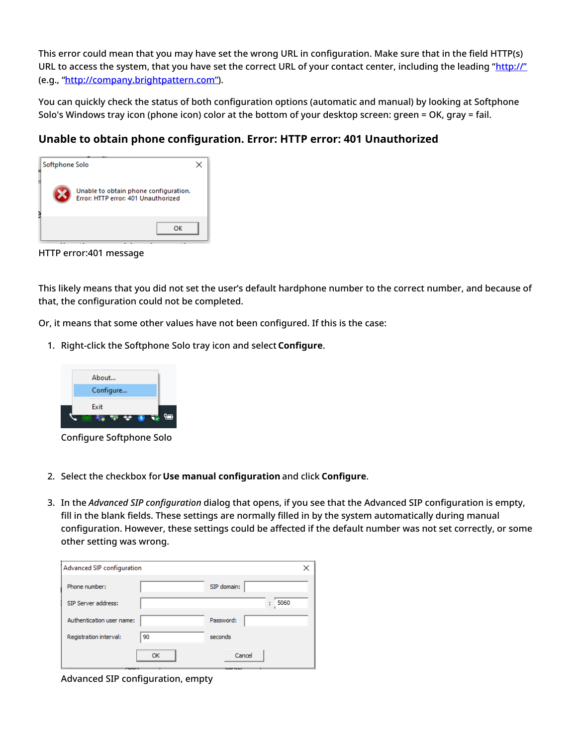This error could mean that you may have set the wrong URL in configuration. Make sure that in the field HTTP(s) URL to access the system, that you have set the correct URL of your contact center, including the leading "[http://"](http://xn--ivg) (e.g., ["http://company.brightpattern.com"](http://company.brightpattern.xn--com-9o0a)).

You can quickly check the status of both configuration options (automatic and manual) by looking at Softphone Solo's Windows tray icon (phone icon) color at the bottom of your desktop screen: green = OK, gray = fail.

# <span id="page-7-0"></span>**Unable to obtain phone configuration. Error: HTTP error: 401 Unauthorized**

| Softphone Solo |                                                                              |  |
|----------------|------------------------------------------------------------------------------|--|
|                | Unable to obtain phone configuration.<br>Error: HTTP error: 401 Unauthorized |  |
|                | ок                                                                           |  |

HTTP error:401 message

This likely means that you did not set the user's default hardphone number to the correct number, and because of that, the configuration could not be completed.

Or, it means that some other values have not been configured. If this is the case:

1. Right-click the Softphone Solo tray icon and select **Configure**.



Configure Softphone Solo

- 2. Select the checkbox for **Use manual configuration** and click **Configure**.
- 3. In the *Advanced SIP configuration* dialog that opens, if you see that the Advanced SIP configuration is empty, fill in the blank fields. These settings are normally filled in by the system automatically during manual configuration. However, these settings could be affected if the default number was not set correctly, or some other setting was wrong.

| Advanced SIP configuration |    |             |
|----------------------------|----|-------------|
| Phone number:              |    | SIP domain: |
| SIP Server address:        |    | 5060<br>t   |
| Authentication user name:  |    | Password:   |
| Registration interval:     | 90 | seconds     |
|                            | OK | Cancel      |

Advanced SIP configuration, empty